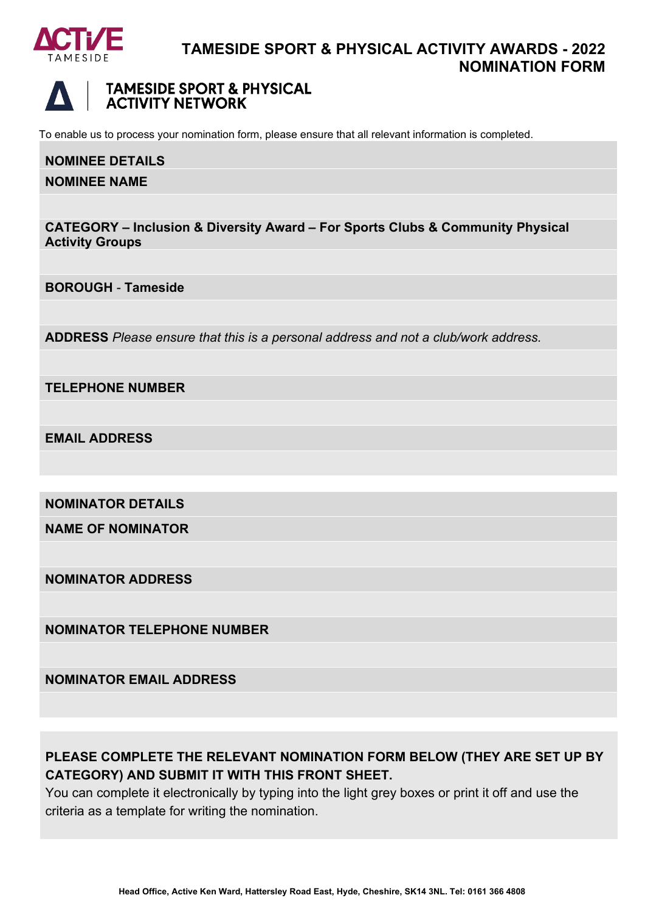



To enable us to process your nomination form, please ensure that all relevant information is completed.

## **NOMINEE DETAILS**

### **NOMINEE NAME**

**CATEGORY – Inclusion & Diversity Award – For Sports Clubs & Community Physical Activity Groups**

**BOROUGH** - **Tameside**

**ADDRESS** *Please ensure that this is a personal address and not a club/work address.*

**TELEPHONE NUMBER**

**EMAIL ADDRESS**

**NOMINATOR DETAILS**

**NAME OF NOMINATOR**

**NOMINATOR ADDRESS**

**NOMINATOR TELEPHONE NUMBER**

**NOMINATOR EMAIL ADDRESS**

# **PLEASE COMPLETE THE RELEVANT NOMINATION FORM BELOW (THEY ARE SET UP BY CATEGORY) AND SUBMIT IT WITH THIS FRONT SHEET.**

You can complete it electronically by typing into the light grey boxes or print it off and use the criteria as a template for writing the nomination.